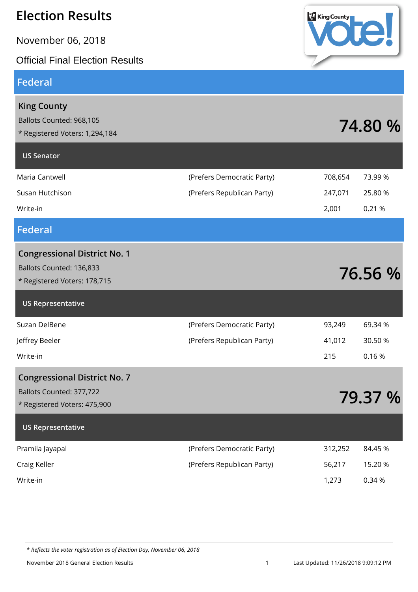November 06, 2018

#### Official Final Election Results

#### **Federal**



| <b>King County</b><br>Ballots Counted: 968,105<br>* Registered Voters: 1,294,184                |                            |         | 74.80 % |
|-------------------------------------------------------------------------------------------------|----------------------------|---------|---------|
| <b>US Senator</b>                                                                               |                            |         |         |
| Maria Cantwell                                                                                  | (Prefers Democratic Party) | 708,654 | 73.99 % |
| Susan Hutchison                                                                                 | (Prefers Republican Party) | 247,071 | 25.80 % |
| Write-in                                                                                        |                            | 2,001   | 0.21 %  |
| <b>Federal</b>                                                                                  |                            |         |         |
| <b>Congressional District No. 1</b><br>Ballots Counted: 136,833<br>* Registered Voters: 178,715 |                            |         | 76.56 % |
| <b>US Representative</b>                                                                        |                            |         |         |
| Suzan DelBene                                                                                   | (Prefers Democratic Party) | 93,249  | 69.34 % |
| Jeffrey Beeler                                                                                  | (Prefers Republican Party) | 41,012  | 30.50 % |
| Write-in                                                                                        |                            | 215     | 0.16%   |
| <b>Congressional District No. 7</b><br>Ballots Counted: 377,722<br>* Registered Voters: 475,900 |                            |         | 79.37 % |
| <b>US Representative</b>                                                                        |                            |         |         |
| Pramila Jayapal                                                                                 | (Prefers Democratic Party) | 312,252 | 84.45 % |
| Craig Keller                                                                                    | (Prefers Republican Party) | 56,217  | 15.20 % |
| Write-in                                                                                        |                            | 1,273   | 0.34 %  |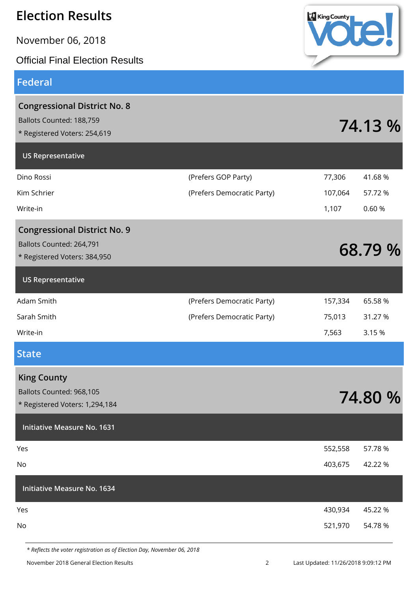November 06, 2018

Official Final Election Results

#### **Federal**

| <b>Congressional District No. 8</b><br>Ballots Counted: 188,759<br>* Registered Voters: 254,619 |                            |         | 74.13 % |
|-------------------------------------------------------------------------------------------------|----------------------------|---------|---------|
| <b>US Representative</b>                                                                        |                            |         |         |
| Dino Rossi                                                                                      | (Prefers GOP Party)        | 77,306  | 41.68%  |
| Kim Schrier                                                                                     | (Prefers Democratic Party) | 107,064 | 57.72 % |
| Write-in                                                                                        |                            | 1,107   | 0.60%   |
| <b>Congressional District No. 9</b>                                                             |                            |         |         |
| Ballots Counted: 264,791                                                                        |                            |         | 68.79 % |
| * Registered Voters: 384,950                                                                    |                            |         |         |
| <b>US Representative</b>                                                                        |                            |         |         |
| Adam Smith                                                                                      | (Prefers Democratic Party) | 157,334 | 65.58 % |
| Sarah Smith                                                                                     | (Prefers Democratic Party) | 75,013  | 31.27 % |
| Write-in                                                                                        |                            | 7,563   | 3.15 %  |
| <b>State</b>                                                                                    |                            |         |         |
| <b>King County</b>                                                                              |                            |         |         |
| Ballots Counted: 968,105                                                                        |                            |         | 74.80 % |
| * Registered Voters: 1,294,184                                                                  |                            |         |         |
| <b>Initiative Measure No. 1631</b>                                                              |                            |         |         |
| Yes                                                                                             |                            | 552,558 | 57.78 % |
| No                                                                                              |                            | 403,675 | 42.22 % |
| <b>Initiative Measure No. 1634</b>                                                              |                            |         |         |
| Yes                                                                                             |                            | 430,934 | 45.22 % |
| No                                                                                              |                            | 521,970 | 54.78 % |
|                                                                                                 |                            |         |         |

*\* Reflects the voter registration as of Election Day, November 06, 2018*



November 2018 General Election Results 2 Last Updated: 11/26/2018 9:09:12 PM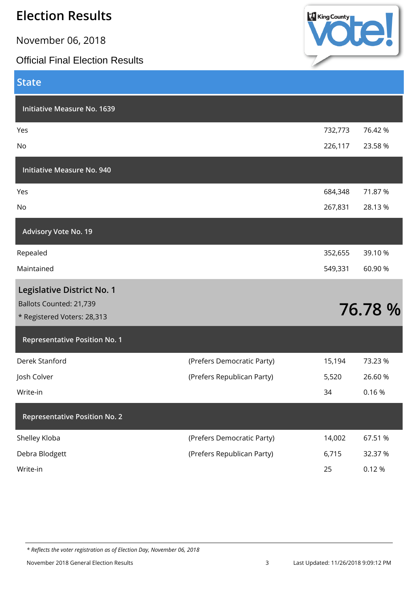November 06, 2018

#### Official Final Election Results



| <b>State</b>                                           |                            |         |         |
|--------------------------------------------------------|----------------------------|---------|---------|
| <b>Initiative Measure No. 1639</b>                     |                            |         |         |
| Yes                                                    |                            | 732,773 | 76.42 % |
| No                                                     |                            | 226,117 | 23.58 % |
| <b>Initiative Measure No. 940</b>                      |                            |         |         |
| Yes                                                    |                            | 684,348 | 71.87 % |
| No                                                     |                            | 267,831 | 28.13%  |
| <b>Advisory Vote No. 19</b>                            |                            |         |         |
| Repealed                                               |                            | 352,655 | 39.10 % |
| Maintained                                             |                            | 549,331 | 60.90%  |
| Legislative District No. 1                             |                            |         |         |
| Ballots Counted: 21,739<br>* Registered Voters: 28,313 |                            |         | 76.78 % |
| <b>Representative Position No. 1</b>                   |                            |         |         |
| Derek Stanford                                         | (Prefers Democratic Party) | 15,194  | 73.23 % |
| Josh Colver                                            | (Prefers Republican Party) | 5,520   | 26.60%  |
| Write-in                                               |                            | 34      | 0.16%   |
| <b>Representative Position No. 2</b>                   |                            |         |         |
| Shelley Kloba                                          | (Prefers Democratic Party) | 14,002  | 67.51 % |
| Debra Blodgett                                         | (Prefers Republican Party) | 6,715   | 32.37 % |
| Write-in                                               |                            | 25      | 0.12%   |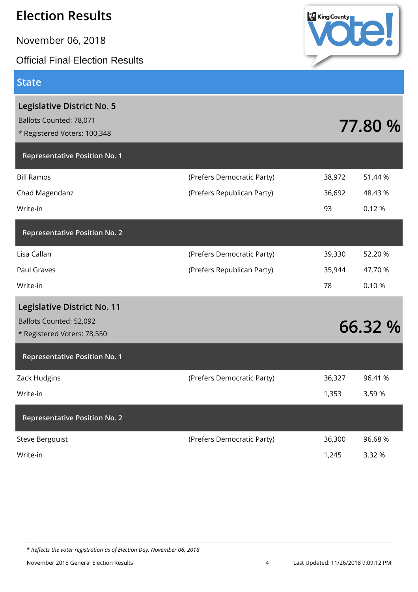November 06, 2018

#### **State**

| <b>Official Final Election Results</b>                                                       |                                                          |                        |                              |
|----------------------------------------------------------------------------------------------|----------------------------------------------------------|------------------------|------------------------------|
| State                                                                                        |                                                          |                        |                              |
| Legislative District No. 5<br>Ballots Counted: 78,071<br>* Registered Voters: 100,348        |                                                          |                        | 77.80 %                      |
| <b>Representative Position No. 1</b>                                                         |                                                          |                        |                              |
| <b>Bill Ramos</b><br>Chad Magendanz<br>Write-in                                              | (Prefers Democratic Party)<br>(Prefers Republican Party) | 38,972<br>36,692<br>93 | 51.44 %<br>48.43 %<br>0.12 % |
| <b>Representative Position No. 2</b>                                                         |                                                          |                        |                              |
| Lisa Callan<br>Paul Graves<br>Write-in                                                       | (Prefers Democratic Party)<br>(Prefers Republican Party) | 39,330<br>35,944<br>78 | 52.20 %<br>47.70 %<br>0.10%  |
| <b>Legislative District No. 11</b><br>Ballots Counted: 52,092<br>* Registered Voters: 78,550 |                                                          |                        | 66.32 %                      |
| <b>Representative Position No. 1</b>                                                         |                                                          |                        |                              |
| Zack Hudgins<br>Write-in                                                                     | (Prefers Democratic Party)                               | 36,327<br>1,353        | 96.41 %<br>3.59%             |
| <b>Representative Position No. 2</b>                                                         |                                                          |                        |                              |
| Steve Bergquist                                                                              | (Prefers Democratic Party)                               | 36,300                 | 96.68%                       |

Write-in 1,245 3.32 %

*\* Reflects the voter registration as of Election Day, November 06, 2018*



King County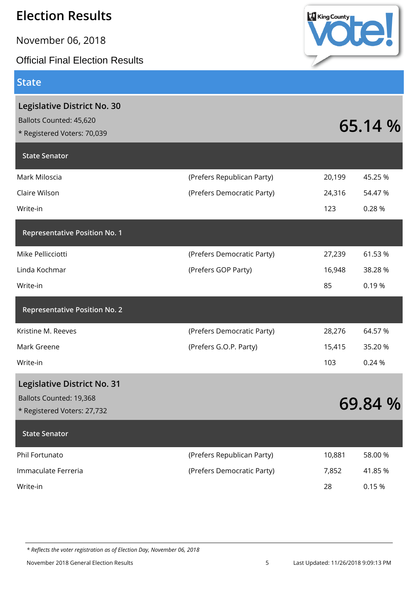November 06, 2018

Official Final Election Results

**Legislative District No. 30**

Ballots Counted: 45,620

**State Senator**

#### **State**



| Claire Wilson                        | (Prefers Democratic Party) | 24,316 | 54.47 %                            |
|--------------------------------------|----------------------------|--------|------------------------------------|
| Write-in                             |                            | 123    | 0.28%                              |
| <b>Representative Position No. 1</b> |                            |        |                                    |
| Mike Pellicciotti                    | (Prefers Democratic Party) | 27,239 | 61.53 %                            |
| Linda Kochmar                        | (Prefers GOP Party)        | 16,948 | 38.28 %                            |
| Write-in                             |                            | 85     | 0.19%                              |
| <b>Representative Position No. 2</b> |                            |        |                                    |
| Kristine M. Reeves                   | (Prefers Democratic Party) | 28,276 | 64.57 %                            |
| Mark Greene                          | (Prefers G.O.P. Party)     | 15,415 | 35.20 %                            |
| Write-in                             |                            | 103    | 0.24 %                             |
| <b>Legislative District No. 31</b>   |                            |        |                                    |
| Ballots Counted: 19,368              |                            |        | $\epsilon$ $\sim$ $\epsilon$<br>n/ |

# Eallots Counted: 19,368<br>
\* Registered Voters: 27,732<br>
\* Registered Voters: 27,732 **State Senator** Phil Fortunato **10,881** 58.00 % (Prefers Republican Party) 10,881 58.00 % Immaculate Ferreria **1988** (Prefers Democratic Party) 7,852 41.85 % Write-in 28 0.15 %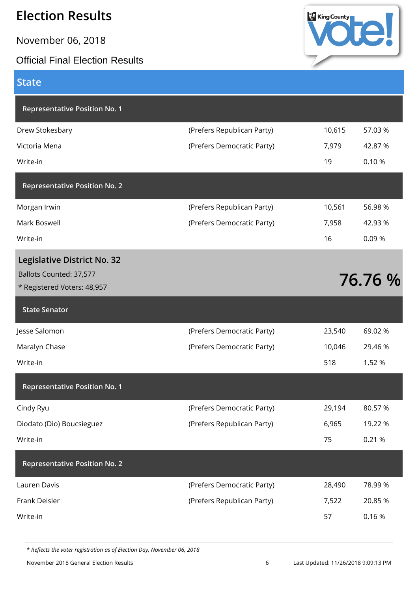November 06, 2018

#### Official Final Election Results



#### **State**

| <b>Representative Position No. 1</b>                                                  |                            |        |         |
|---------------------------------------------------------------------------------------|----------------------------|--------|---------|
| Drew Stokesbary                                                                       | (Prefers Republican Party) | 10,615 | 57.03 % |
| Victoria Mena                                                                         | (Prefers Democratic Party) | 7,979  | 42.87%  |
| Write-in                                                                              |                            | 19     | 0.10%   |
| <b>Representative Position No. 2</b>                                                  |                            |        |         |
| Morgan Irwin                                                                          | (Prefers Republican Party) | 10,561 | 56.98 % |
| Mark Boswell                                                                          | (Prefers Democratic Party) | 7,958  | 42.93 % |
| Write-in                                                                              |                            | 16     | 0.09%   |
| Legislative District No. 32<br>Ballots Counted: 37,577<br>* Registered Voters: 48,957 |                            |        | 76.76 % |
| <b>State Senator</b>                                                                  |                            |        |         |
|                                                                                       |                            |        |         |
| Jesse Salomon                                                                         | (Prefers Democratic Party) | 23,540 | 69.02 % |
| Maralyn Chase                                                                         | (Prefers Democratic Party) | 10,046 | 29.46 % |
| Write-in                                                                              |                            | 518    | 1.52 %  |
| <b>Representative Position No. 1</b>                                                  |                            |        |         |
| Cindy Ryu                                                                             | (Prefers Democratic Party) | 29,194 | 80.57 % |
| Diodato (Dio) Boucsieguez                                                             | (Prefers Republican Party) | 6,965  | 19.22 % |
| Write-in                                                                              |                            | 75     | 0.21 %  |
| <b>Representative Position No. 2</b>                                                  |                            |        |         |
| Lauren Davis                                                                          | (Prefers Democratic Party) | 28,490 | 78.99%  |
| Frank Deisler                                                                         | (Prefers Republican Party) | 7,522  | 20.85 % |

*\* Reflects the voter registration as of Election Day, November 06, 2018*

November 2018 General Election Results 6 Last Updated: 11/26/2018 9:09:13 PM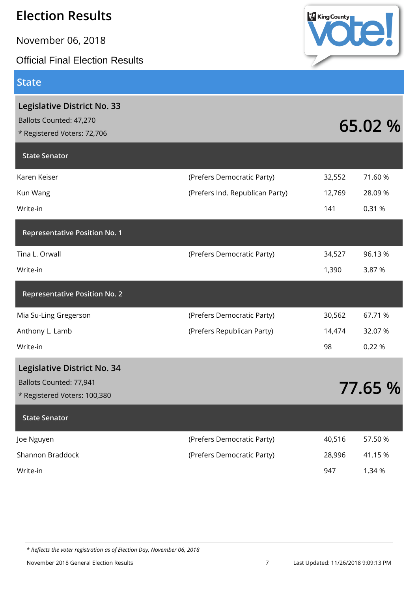November 06, 2018

Official Final Election Results

#### **State**

| Legislative District No. 33<br>Ballots Counted: 47,270<br>* Registered Voters: 72,706 |                                 |        | 65.02 % |
|---------------------------------------------------------------------------------------|---------------------------------|--------|---------|
| <b>State Senator</b>                                                                  |                                 |        |         |
| Karen Keiser                                                                          | (Prefers Democratic Party)      | 32,552 | 71.60 % |
| Kun Wang                                                                              | (Prefers Ind. Republican Party) | 12,769 | 28.09%  |
| Write-in                                                                              |                                 | 141    | 0.31 %  |
| <b>Representative Position No. 1</b>                                                  |                                 |        |         |
| Tina L. Orwall                                                                        | (Prefers Democratic Party)      | 34,527 | 96.13%  |
| Write-in                                                                              |                                 | 1,390  | 3.87 %  |
| <b>Representative Position No. 2</b>                                                  |                                 |        |         |
| Mia Su-Ling Gregerson                                                                 | (Prefers Democratic Party)      | 30,562 | 67.71 % |
| Anthony L. Lamb                                                                       | (Prefers Republican Party)      | 14,474 | 32.07 % |
| Write-in                                                                              |                                 | 98     | 0.22 %  |
| Legislative District No. 34                                                           |                                 |        |         |
| Ballots Counted: 77,941                                                               |                                 |        | 77.65 % |
| * Registered Voters: 100,380                                                          |                                 |        |         |
| <b>State Senator</b>                                                                  |                                 |        |         |
| Joe Nguyen                                                                            | (Prefers Democratic Party)      | 40,516 | 57.50 % |
| Shannon Braddock                                                                      | (Prefers Democratic Party)      | 28,996 | 41.15 % |
| Write-in                                                                              |                                 | 947    | 1.34 %  |
|                                                                                       |                                 |        |         |



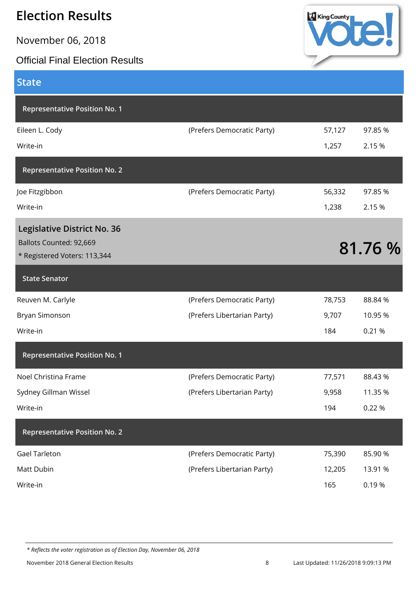November 06, 2018

#### Official Final Election Results



| <b>State</b>                         |                             |        |         |
|--------------------------------------|-----------------------------|--------|---------|
| <b>Representative Position No. 1</b> |                             |        |         |
| Eileen L. Cody                       | (Prefers Democratic Party)  | 57,127 | 97.85%  |
| Write-in                             |                             | 1,257  | 2.15 %  |
| <b>Representative Position No. 2</b> |                             |        |         |
| Joe Fitzgibbon                       | (Prefers Democratic Party)  | 56,332 | 97.85 % |
| Write-in                             |                             | 1,238  | 2.15 %  |
| <b>Legislative District No. 36</b>   |                             |        |         |
| Ballots Counted: 92,669              |                             |        | 81.76 % |
| * Registered Voters: 113,344         |                             |        |         |
| <b>State Senator</b>                 |                             |        |         |
| Reuven M. Carlyle                    | (Prefers Democratic Party)  | 78,753 | 88.84 % |
| Bryan Simonson                       | (Prefers Libertarian Party) | 9,707  | 10.95 % |
| Write-in                             |                             | 184    | 0.21 %  |
| <b>Representative Position No. 1</b> |                             |        |         |
| Noel Christina Frame                 | (Prefers Democratic Party)  | 77,571 | 88.43%  |
| Sydney Gillman Wissel                | (Prefers Libertarian Party) | 9,958  | 11.35 % |
| Write-in                             |                             | 194    | 0.22 %  |
| <b>Representative Position No. 2</b> |                             |        |         |
| <b>Gael Tarleton</b>                 | (Prefers Democratic Party)  | 75,390 | 85.90 % |
| Matt Dubin                           | (Prefers Libertarian Party) | 12,205 | 13.91 % |
| Write-in                             |                             | 165    | 0.19%   |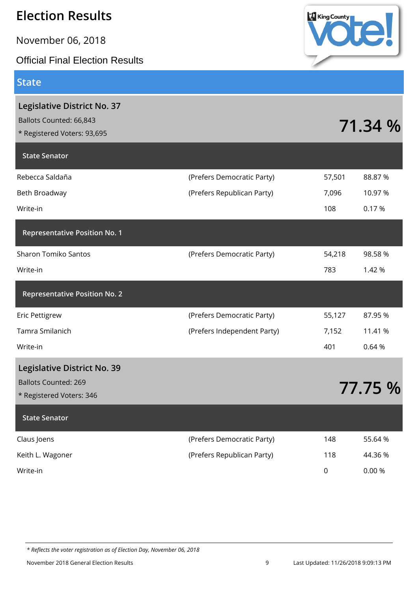November 06, 2018

Official Final Election Results

#### **State**

|                             |             | 71.34 % |
|-----------------------------|-------------|---------|
|                             |             |         |
| (Prefers Democratic Party)  | 57,501      | 88.87%  |
| (Prefers Republican Party)  | 7,096       | 10.97 % |
|                             | 108         | 0.17%   |
|                             |             |         |
| (Prefers Democratic Party)  | 54,218      | 98.58%  |
|                             | 783         | 1.42 %  |
|                             |             |         |
| (Prefers Democratic Party)  | 55,127      | 87.95 % |
| (Prefers Independent Party) | 7,152       | 11.41 % |
|                             | 401         | 0.64%   |
|                             |             |         |
|                             |             | 77.75 % |
|                             |             |         |
|                             |             |         |
| (Prefers Democratic Party)  | 148         | 55.64 % |
| (Prefers Republican Party)  | 118         | 44.36 % |
|                             | $\mathsf 0$ | 0.00%   |
|                             |             |         |

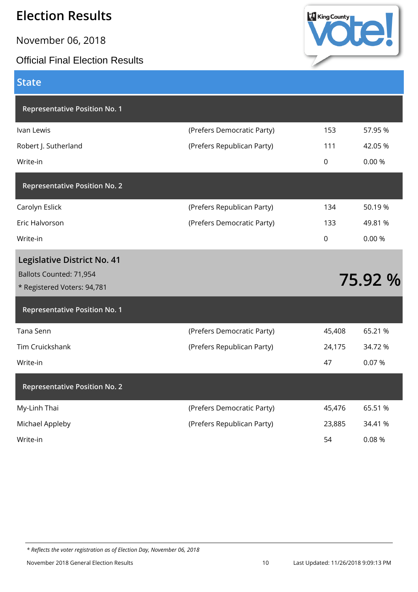November 06, 2018

**State**

#### Official Final Election Results



| <b>Representative Position No. 1</b>                   |                            |          |         |
|--------------------------------------------------------|----------------------------|----------|---------|
| Ivan Lewis                                             | (Prefers Democratic Party) | 153      | 57.95 % |
| Robert J. Sutherland                                   | (Prefers Republican Party) | 111      | 42.05%  |
| Write-in                                               |                            | $\Omega$ | 0.00 %  |
| <b>Representative Position No. 2</b>                   |                            |          |         |
| Carolyn Eslick                                         | (Prefers Republican Party) | 134      | 50.19%  |
| Eric Halvorson                                         | (Prefers Democratic Party) | 133      | 49.81 % |
| Write-in                                               |                            | $\Omega$ | 0.00 %  |
| <b>Legislative District No. 41</b>                     |                            |          |         |
|                                                        |                            |          |         |
| Ballots Counted: 71,954<br>* Registered Voters: 94,781 |                            |          | 75.92 % |
| <b>Representative Position No. 1</b>                   |                            |          |         |
| Tana Senn                                              | (Prefers Democratic Party) | 45,408   | 65.21 % |
| <b>Tim Cruickshank</b>                                 | (Prefers Republican Party) | 24,175   | 34.72 % |
| Write-in                                               |                            | 47       | 0.07%   |
| <b>Representative Position No. 2</b>                   |                            |          |         |
| My-Linh Thai                                           | (Prefers Democratic Party) | 45,476   | 65.51 % |
| Michael Appleby                                        | (Prefers Republican Party) | 23,885   | 34.41 % |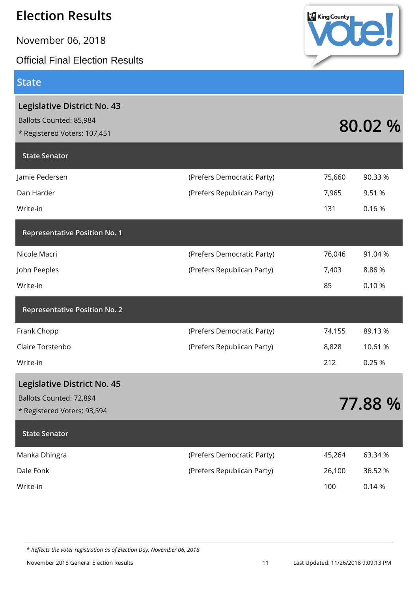November 06, 2018

Official Final Election Results

#### **State**



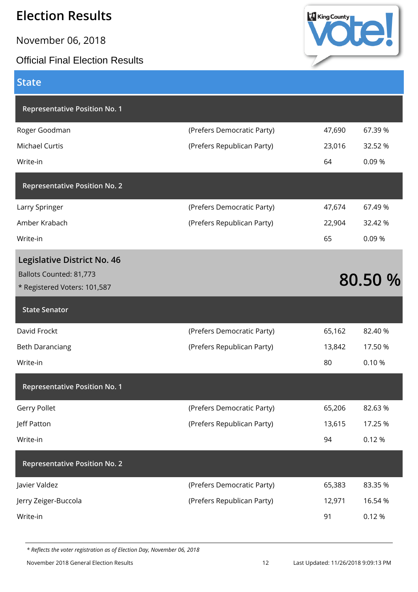November 06, 2018

#### Official Final Election Results



#### **State**

| <b>Representative Position No. 1</b>                                                   |                            |        |         |
|----------------------------------------------------------------------------------------|----------------------------|--------|---------|
| Roger Goodman                                                                          | (Prefers Democratic Party) | 47,690 | 67.39 % |
| <b>Michael Curtis</b>                                                                  | (Prefers Republican Party) | 23,016 | 32.52 % |
| Write-in                                                                               |                            | 64     | 0.09%   |
| <b>Representative Position No. 2</b>                                                   |                            |        |         |
| Larry Springer                                                                         | (Prefers Democratic Party) | 47,674 | 67.49%  |
| Amber Krabach                                                                          | (Prefers Republican Party) | 22,904 | 32.42 % |
| Write-in                                                                               |                            | 65     | 0.09%   |
| Legislative District No. 46<br>Ballots Counted: 81,773<br>* Registered Voters: 101,587 |                            |        | 80.50 % |
| <b>State Senator</b>                                                                   |                            |        |         |
| David Frockt                                                                           | (Prefers Democratic Party) | 65,162 | 82.40 % |
| <b>Beth Daranciang</b>                                                                 | (Prefers Republican Party) | 13,842 | 17.50 % |
| Write-in                                                                               |                            | 80     | 0.10%   |
| <b>Representative Position No. 1</b>                                                   |                            |        |         |
| <b>Gerry Pollet</b>                                                                    | (Prefers Democratic Party) | 65,206 | 82.63%  |
| Jeff Patton                                                                            | (Prefers Republican Party) | 13,615 | 17.25 % |
| Write-in                                                                               |                            | 94     | 0.12%   |
| <b>Representative Position No. 2</b>                                                   |                            |        |         |
| Javier Valdez                                                                          | (Prefers Democratic Party) | 65,383 | 83.35 % |
| Jerry Zeiger-Buccola                                                                   | (Prefers Republican Party) | 12,971 | 16.54 % |
|                                                                                        |                            |        |         |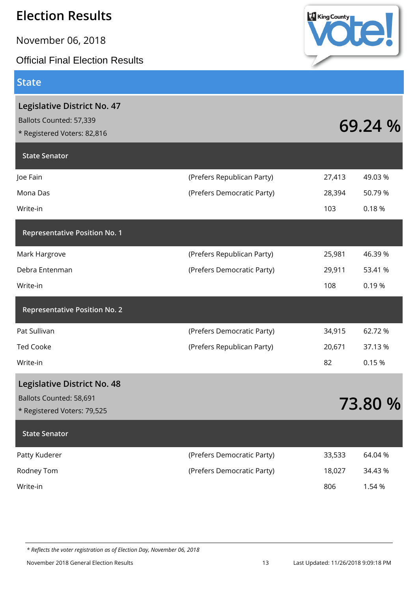November 06, 2018

Official Final Election Results

#### **State**



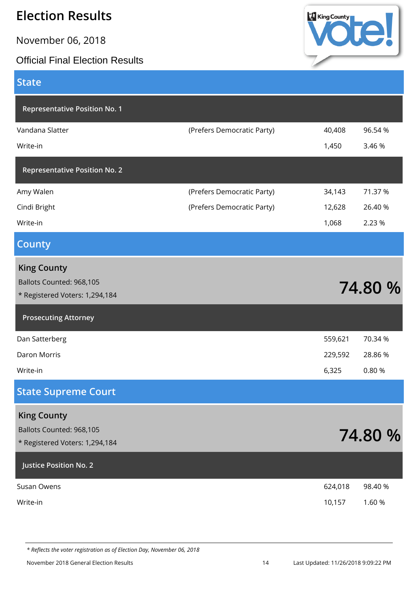November 06, 2018

#### Official Final Election Results



| <b>State</b>                                                                     |                            |         |         |
|----------------------------------------------------------------------------------|----------------------------|---------|---------|
| <b>Representative Position No. 1</b>                                             |                            |         |         |
| Vandana Slatter                                                                  | (Prefers Democratic Party) | 40,408  | 96.54 % |
| Write-in                                                                         |                            | 1,450   | 3.46 %  |
| <b>Representative Position No. 2</b>                                             |                            |         |         |
| Amy Walen                                                                        | (Prefers Democratic Party) | 34,143  | 71.37 % |
| Cindi Bright                                                                     | (Prefers Democratic Party) | 12,628  | 26.40 % |
| Write-in                                                                         |                            | 1,068   | 2.23 %  |
| <b>County</b>                                                                    |                            |         |         |
| <b>King County</b><br>Ballots Counted: 968,105<br>* Registered Voters: 1,294,184 |                            |         | 74.80 % |
| <b>Prosecuting Attorney</b>                                                      |                            |         |         |
| Dan Satterberg                                                                   |                            | 559,621 | 70.34 % |
| Daron Morris                                                                     |                            | 229,592 | 28.86%  |
| Write-in                                                                         |                            | 6,325   | 0.80%   |
| <b>State Supreme Court</b>                                                       |                            |         |         |
| <b>King County</b><br>Ballots Counted: 968,105<br>* Registered Voters: 1,294,184 |                            |         | 74.80 % |
| Justice Position No. 2                                                           |                            |         |         |
| Susan Owens                                                                      |                            | 624,018 | 98.40 % |
| Write-in                                                                         |                            | 10,157  | 1.60 %  |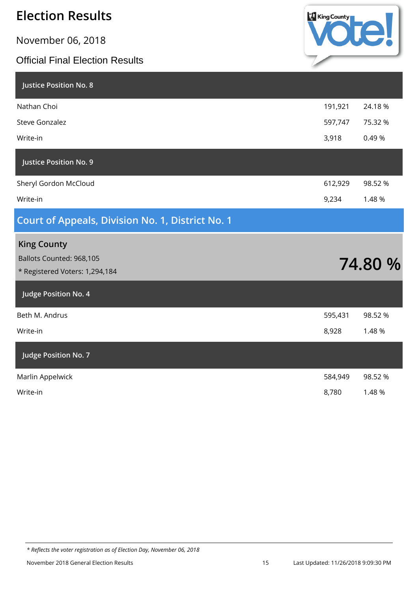November 06, 2018

#### Official Final Election Results



| <b>Justice Position No. 8</b>                              |         |         |
|------------------------------------------------------------|---------|---------|
| Nathan Choi                                                | 191,921 | 24.18%  |
| <b>Steve Gonzalez</b>                                      | 597,747 | 75.32 % |
| Write-in                                                   | 3,918   | 0.49%   |
| <b>Justice Position No. 9</b>                              |         |         |
| Sheryl Gordon McCloud                                      | 612,929 | 98.52 % |
| Write-in                                                   | 9,234   | 1.48 %  |
| <b>Court of Appeals, Division No. 1, District No. 1</b>    |         |         |
|                                                            |         |         |
| <b>King County</b>                                         |         |         |
| Ballots Counted: 968,105<br>* Registered Voters: 1,294,184 |         | 74.80 % |
| Judge Position No. 4                                       |         |         |
| Beth M. Andrus                                             | 595,431 | 98.52 % |
| Write-in                                                   | 8,928   | 1.48 %  |
| Judge Position No. 7                                       |         |         |
| Marlin Appelwick                                           | 584,949 | 98.52 % |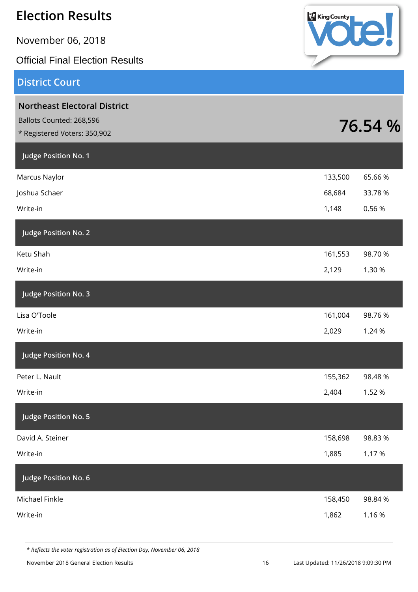| <b>Election Results</b>                                                                         | <b>King County</b> |         |
|-------------------------------------------------------------------------------------------------|--------------------|---------|
| November 06, 2018                                                                               |                    |         |
| <b>Official Final Election Results</b>                                                          |                    |         |
| <b>District Court</b>                                                                           |                    |         |
| <b>Northeast Electoral District</b><br>Ballots Counted: 268,596<br>* Registered Voters: 350,902 |                    | 76.54 % |
| Judge Position No. 1                                                                            |                    |         |
| Marcus Naylor                                                                                   | 133,500            | 65.66%  |
| Joshua Schaer                                                                                   | 68,684             | 33.78 % |
| Write-in                                                                                        | 1,148              | 0.56%   |
| Judge Position No. 2                                                                            |                    |         |
| Ketu Shah                                                                                       | 161,553            | 98.70 % |
| Write-in                                                                                        | 2,129              | 1.30 %  |
| Judge Position No. 3                                                                            |                    |         |
| Lisa O'Toole                                                                                    | 161,004            | 98.76%  |
| Write-in                                                                                        | 2,029              | 1.24 %  |
| Judge Position No. 4                                                                            |                    |         |
| Peter L. Nault                                                                                  | 155,362            | 98.48%  |
| Write-in                                                                                        | 2,404              | 1.52 %  |
| Judge Position No. 5                                                                            |                    |         |
| David A. Steiner                                                                                | 158,698            | 98.83%  |
| Write-in                                                                                        | 1,885              | 1.17%   |
| Judge Position No. 6                                                                            |                    |         |
| Michael Finkle                                                                                  | 158,450            | 98.84%  |
| Write-in                                                                                        | 1,862              | 1.16%   |
|                                                                                                 |                    |         |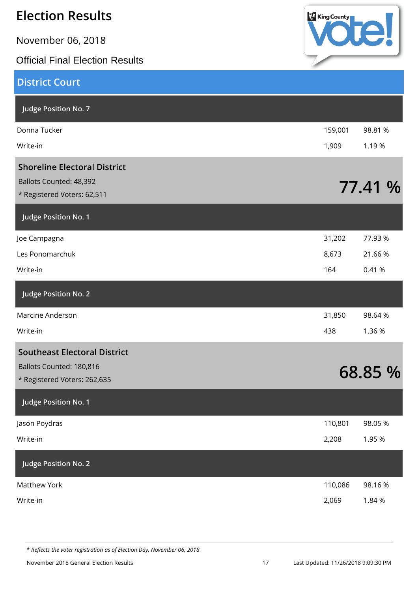| <b>Election Results</b>                                                                       | King County        |
|-----------------------------------------------------------------------------------------------|--------------------|
| November 06, 2018                                                                             |                    |
| <b>Official Final Election Results</b>                                                        |                    |
| <b>District Court</b>                                                                         |                    |
| Judge Position No. 7                                                                          |                    |
| Donna Tucker                                                                                  | 98.81 %<br>159,001 |
| Write-in                                                                                      | 1,909<br>1.19 %    |
| <b>Shoreline Electoral District</b><br>Ballots Counted: 48,392<br>* Registered Voters: 62,511 | 77.41 %            |
| Judge Position No. 1                                                                          |                    |
| Joe Campagna                                                                                  | 31,202<br>77.93 %  |
| Les Ponomarchuk                                                                               | 8,673<br>21.66 %   |
| Write-in                                                                                      | 0.41 %<br>164      |
| Judge Position No. 2                                                                          |                    |
| Marcine Anderson                                                                              | 31,850<br>98.64%   |
| Write-in                                                                                      | 1.36 %<br>438      |
| <b>Southeast Electoral District</b>                                                           |                    |
| Ballots Counted: 180,816<br>* Registered Voters: 262,635                                      | 68.85 %            |
| Judge Position No. 1                                                                          |                    |
| Jason Poydras                                                                                 | 110,801<br>98.05%  |
| Write-in                                                                                      | 2,208<br>1.95 %    |
| Judge Position No. 2                                                                          |                    |
| <b>Matthew York</b>                                                                           | 110,086<br>98.16%  |
| Write-in                                                                                      | 2,069<br>1.84 %    |
|                                                                                               |                    |

v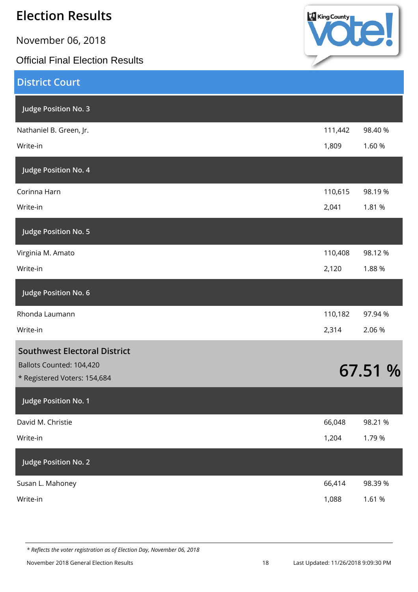November 06, 2018

Official Final Election Results



| <b>District Court</b>                                    |         |         |
|----------------------------------------------------------|---------|---------|
| Judge Position No. 3                                     |         |         |
| Nathaniel B. Green, Jr.                                  | 111,442 | 98.40 % |
| Write-in                                                 | 1,809   | 1.60 %  |
| Judge Position No. 4                                     |         |         |
| Corinna Harn                                             | 110,615 | 98.19%  |
| Write-in                                                 | 2,041   | 1.81 %  |
| Judge Position No. 5                                     |         |         |
| Virginia M. Amato                                        | 110,408 | 98.12%  |
| Write-in                                                 | 2,120   | 1.88%   |
| Judge Position No. 6                                     |         |         |
| Rhonda Laumann                                           | 110,182 | 97.94 % |
| Write-in                                                 | 2,314   | 2.06%   |
| <b>Southwest Electoral District</b>                      |         |         |
| Ballots Counted: 104,420<br>* Registered Voters: 154,684 |         | 67.51 % |
| Judge Position No. 1                                     |         |         |
| David M. Christie                                        | 66,048  | 98.21 % |
| Write-in                                                 | 1,204   | 1.79%   |
| Judge Position No. 2                                     |         |         |
| Susan L. Mahoney                                         | 66,414  | 98.39%  |
| Write-in                                                 | 1,088   | 1.61 %  |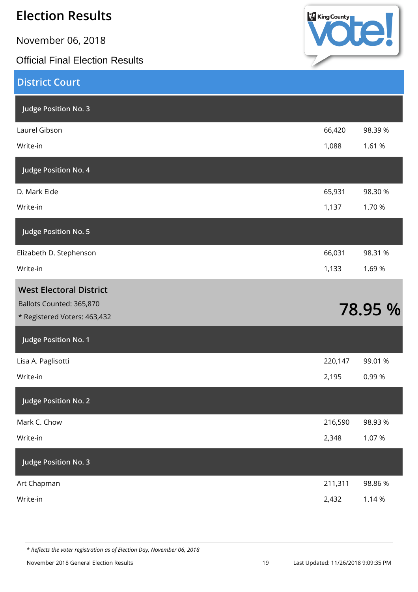November 06, 2018

Official Final Election Results



| <b>District Court</b>                                    |         |         |
|----------------------------------------------------------|---------|---------|
| Judge Position No. 3                                     |         |         |
| Laurel Gibson                                            | 66,420  | 98.39 % |
| Write-in                                                 | 1,088   | 1.61 %  |
| Judge Position No. 4                                     |         |         |
| D. Mark Eide                                             | 65,931  | 98.30 % |
| Write-in                                                 | 1,137   | 1.70 %  |
| Judge Position No. 5                                     |         |         |
| Elizabeth D. Stephenson                                  | 66,031  | 98.31 % |
| Write-in                                                 | 1,133   | 1.69%   |
| <b>West Electoral District</b>                           |         |         |
| Ballots Counted: 365,870<br>* Registered Voters: 463,432 |         | 78.95 % |
| Judge Position No. 1                                     |         |         |
| Lisa A. Paglisotti                                       | 220,147 | 99.01 % |
| Write-in                                                 | 2,195   | 0.99%   |
| Judge Position No. 2                                     |         |         |
| Mark C. Chow                                             | 216,590 | 98.93%  |
| Write-in                                                 | 2,348   | 1.07%   |
| Judge Position No. 3                                     |         |         |
| Art Chapman                                              | 211,311 | 98.86%  |
| Write-in                                                 | 2,432   | 1.14 %  |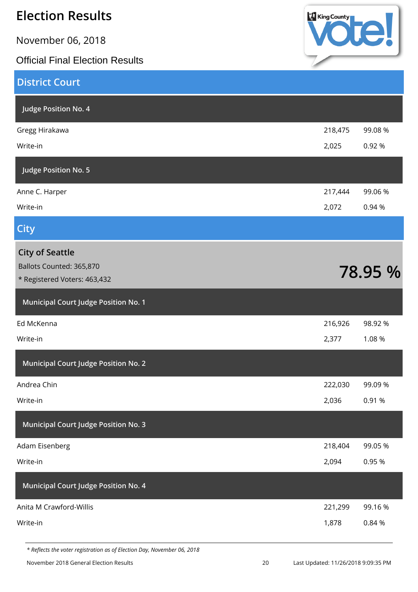| <b>Election Results</b>                                  | King County |         |
|----------------------------------------------------------|-------------|---------|
| November 06, 2018                                        |             |         |
| <b>Official Final Election Results</b>                   |             |         |
| <b>District Court</b>                                    |             |         |
| Judge Position No. 4                                     |             |         |
| Gregg Hirakawa                                           | 218,475     | 99.08 % |
| Write-in                                                 | 2,025       | 0.92 %  |
| Judge Position No. 5                                     |             |         |
| Anne C. Harper                                           | 217,444     | 99.06 % |
| Write-in                                                 | 2,072       | 0.94 %  |
| <b>City</b>                                              |             |         |
| <b>City of Seattle</b>                                   |             |         |
| Ballots Counted: 365,870<br>* Registered Voters: 463,432 |             | 78.95 % |
|                                                          |             |         |
| <b>Municipal Court Judge Position No. 1</b>              |             |         |
| Ed McKenna                                               | 216,926     | 98.92 % |
| Write-in                                                 | 2,377       | 1.08%   |
| <b>Municipal Court Judge Position No. 2</b>              |             |         |
| Andrea Chin                                              | 222,030     | 99.09 % |
| Write-in                                                 | 2,036       | 0.91 %  |
| <b>Municipal Court Judge Position No. 3</b>              |             |         |
| Adam Eisenberg                                           | 218,404     | 99.05 % |
| Write-in                                                 | 2,094       | 0.95 %  |
| <b>Municipal Court Judge Position No. 4</b>              |             |         |
| Anita M Crawford-Willis                                  | 221,299     | 99.16%  |
| Write-in                                                 | 1,878       | 0.84 %  |

v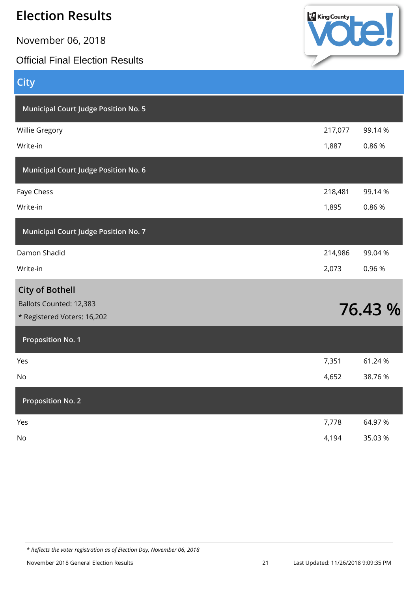November 06, 2018

#### Official Final Election Results



| <b>City</b>                                 |         |         |
|---------------------------------------------|---------|---------|
| <b>Municipal Court Judge Position No. 5</b> |         |         |
| Willie Gregory                              | 217,077 | 99.14%  |
| Write-in                                    | 1,887   | 0.86%   |
| Municipal Court Judge Position No. 6        |         |         |
| Faye Chess                                  | 218,481 | 99.14%  |
| Write-in                                    | 1,895   | 0.86%   |
| <b>Municipal Court Judge Position No. 7</b> |         |         |
| Damon Shadid                                | 214,986 | 99.04 % |
| Write-in                                    | 2,073   | 0.96%   |
| <b>City of Bothell</b>                      |         |         |
| Ballots Counted: 12,383                     |         | 76.43 % |
| * Registered Voters: 16,202                 |         |         |
| <b>Proposition No. 1</b>                    |         |         |
| Yes                                         | 7,351   | 61.24 % |
| No                                          | 4,652   | 38.76%  |
| <b>Proposition No. 2</b>                    |         |         |
| Yes                                         | 7,778   | 64.97%  |
| $\rm No$                                    | 4,194   | 35.03%  |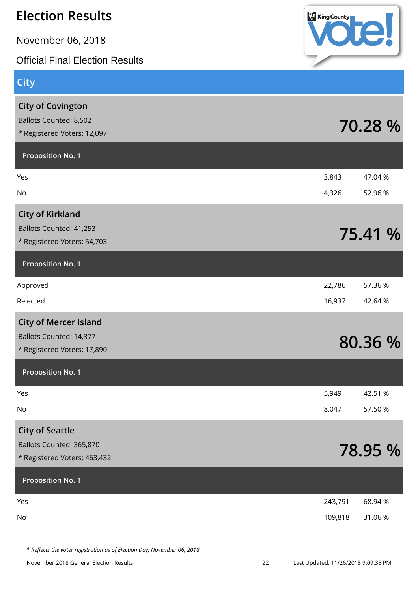| <b>Election Results</b>                                                                  | <b>King County</b> |                    |
|------------------------------------------------------------------------------------------|--------------------|--------------------|
| November 06, 2018                                                                        |                    |                    |
| <b>Official Final Election Results</b>                                                   |                    |                    |
| <b>City</b>                                                                              |                    |                    |
| <b>City of Covington</b><br><b>Ballots Counted: 8,502</b><br>* Registered Voters: 12,097 |                    | 70.28 %            |
| <b>Proposition No. 1</b>                                                                 |                    |                    |
| Yes<br>No                                                                                | 3,843<br>4,326     | 47.04 %<br>52.96 % |
| <b>City of Kirkland</b><br>Ballots Counted: 41,253<br>* Registered Voters: 54,703        |                    | 75.41 %            |
| <b>Proposition No. 1</b>                                                                 |                    |                    |
| Approved                                                                                 | 22,786             | 57.36 %            |
| Rejected                                                                                 | 16,937             | 42.64%             |
| <b>City of Mercer Island</b><br>Ballots Counted: 14,377<br>* Registered Voters: 17,890   |                    | 80.36 %            |
| <b>Proposition No. 1</b>                                                                 |                    |                    |
| Yes                                                                                      | 5,949              | 42.51 %            |
| No                                                                                       | 8,047              | 57.50 %            |
| <b>City of Seattle</b><br>Ballots Counted: 365,870<br>* Registered Voters: 463,432       |                    | 78.95 %            |
| <b>Proposition No. 1</b>                                                                 |                    |                    |
| Yes                                                                                      | 243,791            | 68.94 %            |
| No                                                                                       | 109,818            | 31.06 %            |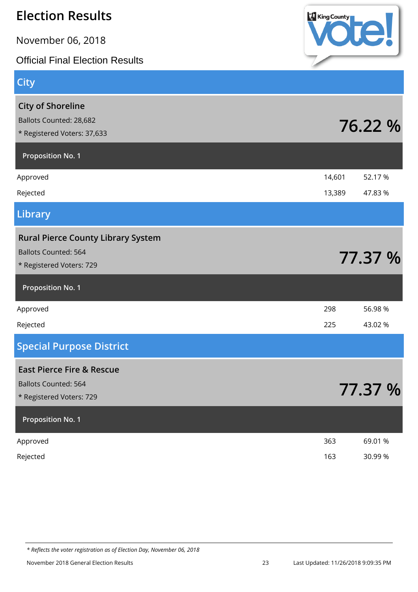November 06, 2018

**City**

Official Final Election Results



| <b>City of Shoreline</b><br>Ballots Counted: 28,682<br>* Registered Voters: 37,633                   |        | 76.22 % |
|------------------------------------------------------------------------------------------------------|--------|---------|
| <b>Proposition No. 1</b>                                                                             |        |         |
| Approved                                                                                             | 14,601 | 52.17 % |
| Rejected                                                                                             | 13,389 | 47.83 % |
| Library                                                                                              |        |         |
| <b>Rural Pierce County Library System</b><br><b>Ballots Counted: 564</b><br>* Registered Voters: 729 |        | 77.37 % |
| <b>Proposition No. 1</b>                                                                             |        |         |
| Approved                                                                                             | 298    | 56.98 % |
| Rejected                                                                                             | 225    | 43.02 % |
| <b>Special Purpose District</b>                                                                      |        |         |
| <b>East Pierce Fire &amp; Rescue</b><br><b>Ballots Counted: 564</b><br>* Registered Voters: 729      |        | 77.37 % |
| <b>Proposition No. 1</b>                                                                             |        |         |
| Approved                                                                                             | 363    | 69.01 % |
| Rejected                                                                                             | 163    | 30.99 % |